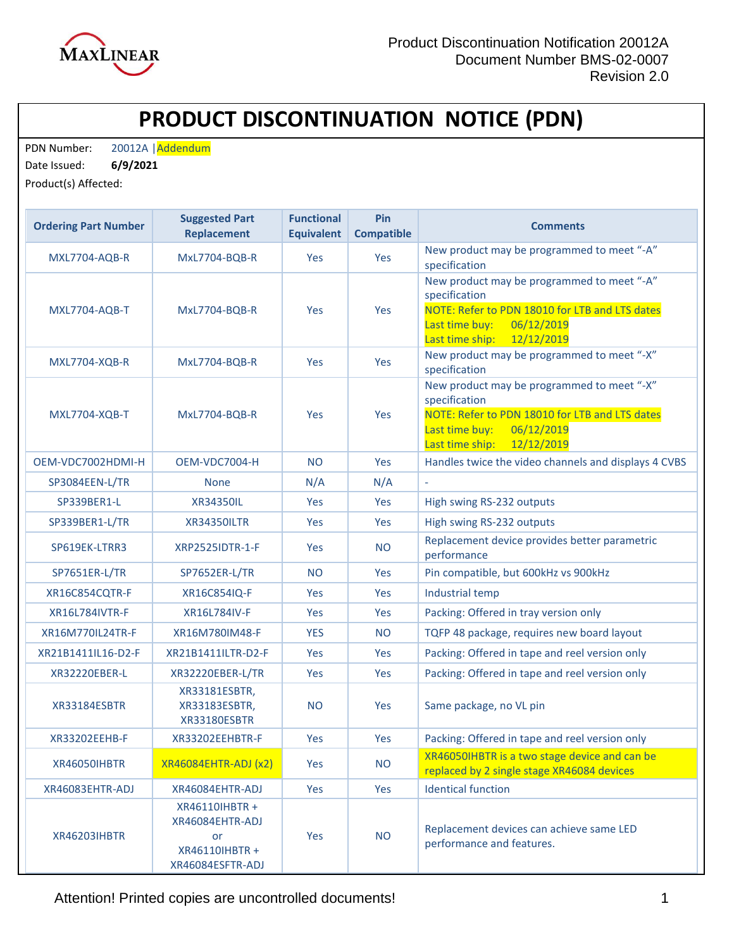

## **PRODUCT DISCONTINUATION NOTICE (PDN)**

PDN Number: 20012A | Addendum

Date Issued: **6/9/2021** 

Product(s) Affected:

| <b>Ordering Part Number</b> | <b>Suggested Part</b><br><b>Replacement</b>                                   | <b>Functional</b><br><b>Equivalent</b> | Pin<br><b>Compatible</b> | <b>Comments</b>                                                                                                                                                                |
|-----------------------------|-------------------------------------------------------------------------------|----------------------------------------|--------------------------|--------------------------------------------------------------------------------------------------------------------------------------------------------------------------------|
| MXL7704-AQB-R               | MxL7704-BQB-R                                                                 | <b>Yes</b>                             | Yes                      | New product may be programmed to meet "-A"<br>specification                                                                                                                    |
| MXL7704-AQB-T               | <b>MxL7704-BQB-R</b>                                                          | Yes                                    | Yes                      | New product may be programmed to meet "-A"<br>specification<br>NOTE: Refer to PDN 18010 for LTB and LTS dates<br>06/12/2019<br>Last time buy:<br>Last time ship:<br>12/12/2019 |
| <b>MXL7704-XQB-R</b>        | MxL7704-BQB-R                                                                 | <b>Yes</b>                             | Yes                      | New product may be programmed to meet "-X"<br>specification                                                                                                                    |
| <b>MXL7704-XQB-T</b>        | MxL7704-BQB-R                                                                 | Yes                                    | Yes                      | New product may be programmed to meet "-X"<br>specification<br>NOTE: Refer to PDN 18010 for LTB and LTS dates<br>Last time buy:<br>06/12/2019<br>Last time ship:<br>12/12/2019 |
| OEM-VDC7002HDMI-H           | OEM-VDC7004-H                                                                 | <b>NO</b>                              | Yes                      | Handles twice the video channels and displays 4 CVBS                                                                                                                           |
| SP3084EEN-L/TR              | <b>None</b>                                                                   | N/A                                    | N/A                      |                                                                                                                                                                                |
| SP339BER1-L                 | <b>XR34350IL</b>                                                              | <b>Yes</b>                             | Yes                      | High swing RS-232 outputs                                                                                                                                                      |
| SP339BER1-L/TR              | <b>XR34350ILTR</b>                                                            | <b>Yes</b>                             | Yes                      | High swing RS-232 outputs                                                                                                                                                      |
| SP619EK-LTRR3               | <b>XRP2525IDTR-1-F</b>                                                        | Yes                                    | NO.                      | Replacement device provides better parametric<br>performance                                                                                                                   |
| <b>SP7651ER-L/TR</b>        | SP7652ER-L/TR                                                                 | <b>NO</b>                              | Yes                      | Pin compatible, but 600kHz vs 900kHz                                                                                                                                           |
| XR16C854CQTR-F              | XR16C854IQ-F                                                                  | <b>Yes</b>                             | Yes                      | Industrial temp                                                                                                                                                                |
| <b>XR16L784IVTR-F</b>       | XR16L784IV-F                                                                  | <b>Yes</b>                             | Yes                      | Packing: Offered in tray version only                                                                                                                                          |
| XR16M770IL24TR-F            | XR16M780IM48-F                                                                | <b>YES</b>                             | <b>NO</b>                | TQFP 48 package, requires new board layout                                                                                                                                     |
| XR21B1411IL16-D2-F          | XR21B1411ILTR-D2-F                                                            | <b>Yes</b>                             | Yes                      | Packing: Offered in tape and reel version only                                                                                                                                 |
| XR32220EBER-L               | XR32220EBER-L/TR                                                              | Yes                                    | Yes                      | Packing: Offered in tape and reel version only                                                                                                                                 |
| XR33184ESBTR                | XR33181ESBTR,<br>XR33183ESBTR,<br>XR33180ESBTR                                | N <sub>O</sub>                         | Yes                      | Same package, no VL pin                                                                                                                                                        |
| XR33202EEHB-F               | XR33202EEHBTR-F                                                               | Yes                                    | Yes                      | Packing: Offered in tape and reel version only                                                                                                                                 |
| XR46050IHBTR                | <b>XR46084EHTR-ADJ (x2)</b>                                                   | Yes                                    | <b>NO</b>                | XR46050IHBTR is a two stage device and can be<br>replaced by 2 single stage XR46084 devices                                                                                    |
| XR46083EHTR-ADJ             | XR46084EHTR-ADJ                                                               | Yes                                    | Yes                      | <b>Identical function</b>                                                                                                                                                      |
| <b>XR46203IHBTR</b>         | XR46110IHBTR +<br>XR46084EHTR-ADJ<br>or<br>XR46110IHBTR +<br>XR46084ESFTR-ADJ | Yes                                    | <b>NO</b>                | Replacement devices can achieve same LED<br>performance and features.                                                                                                          |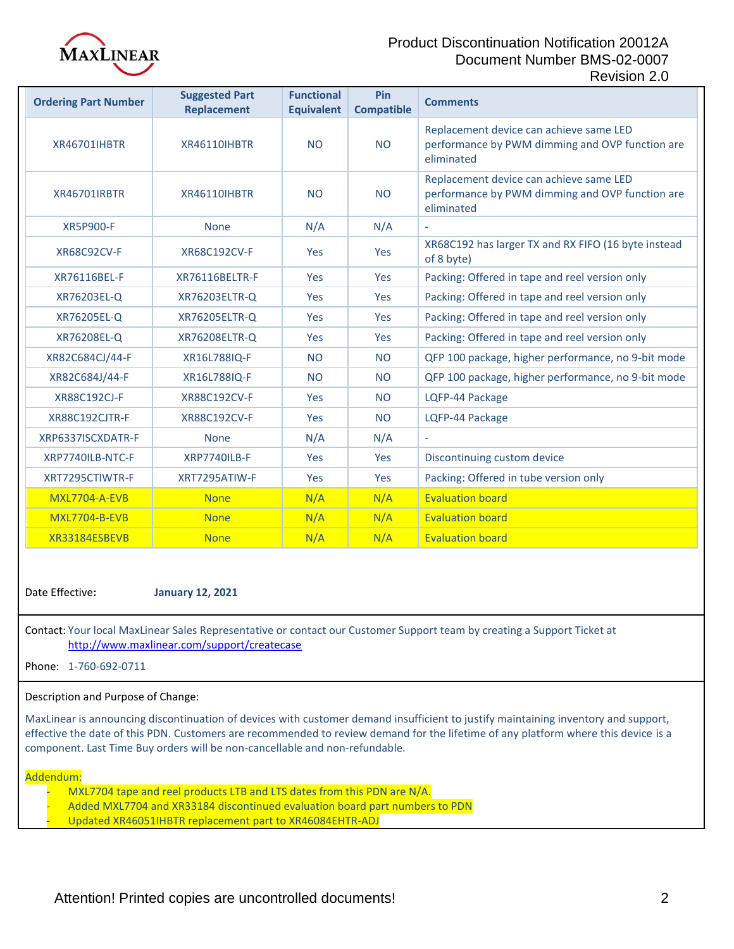

## Product Discontinuation Notification 20012A Document Number BMS-02-0007 Revision 2.0

| <b>Ordering Part Number</b> | <b>Suggested Part</b><br><b>Replacement</b> | <b>Functional</b><br><b>Equivalent</b> | Pin<br><b>Compatible</b> | <b>Comments</b>                                                                                          |
|-----------------------------|---------------------------------------------|----------------------------------------|--------------------------|----------------------------------------------------------------------------------------------------------|
| <b>XR46701IHBTR</b>         | <b>XR46110IHBTR</b>                         | <b>NO</b>                              | <b>NO</b>                | Replacement device can achieve same LED<br>performance by PWM dimming and OVP function are<br>eliminated |
| <b>XR46701IRBTR</b>         | <b>XR46110IHBTR</b>                         | <b>NO</b>                              | <b>NO</b>                | Replacement device can achieve same LED<br>performance by PWM dimming and OVP function are<br>eliminated |
| <b>XR5P900-F</b>            | <b>None</b>                                 | N/A                                    | N/A                      |                                                                                                          |
| <b>XR68C92CV-F</b>          | <b>XR68C192CV-F</b>                         | Yes                                    | Yes                      | XR68C192 has larger TX and RX FIFO (16 byte instead<br>of 8 byte)                                        |
| XR76116BEL-F                | <b>XR76116BELTR-F</b>                       | Yes                                    | Yes                      | Packing: Offered in tape and reel version only                                                           |
| XR76203EL-Q                 | XR76203ELTR-Q                               | <b>Yes</b>                             | Yes                      | Packing: Offered in tape and reel version only                                                           |
| XR76205EL-Q                 | <b>XR76205ELTR-Q</b>                        | Yes                                    | Yes                      | Packing: Offered in tape and reel version only                                                           |
| XR76208EL-Q                 | XR76208ELTR-Q                               | Yes                                    | Yes                      | Packing: Offered in tape and reel version only                                                           |
| XR82C684CJ/44-F             | XR16L788IQ-F                                | <b>NO</b>                              | <b>NO</b>                | QFP 100 package, higher performance, no 9-bit mode                                                       |
| XR82C684J/44-F              | XR16L788IQ-F                                | <b>NO</b>                              | <b>NO</b>                | QFP 100 package, higher performance, no 9-bit mode                                                       |
| XR88C192CJ-F                | <b>XR88C192CV-F</b>                         | Yes                                    | <b>NO</b>                | LQFP-44 Package                                                                                          |
| <b>XR88C192CJTR-F</b>       | <b>XR88C192CV-F</b>                         | Yes                                    | <b>NO</b>                | LQFP-44 Package                                                                                          |
| XRP6337ISCXDATR-F           | <b>None</b>                                 | N/A                                    | N/A                      |                                                                                                          |
| XRP7740ILB-NTC-F            | XRP7740ILB-F                                | <b>Yes</b>                             | Yes                      | Discontinuing custom device                                                                              |
| XRT7295CTIWTR-F             | XRT7295ATIW-F                               | Yes                                    | Yes                      | Packing: Offered in tube version only                                                                    |
| <b>MXL7704-A-EVB</b>        | <b>None</b>                                 | N/A                                    | N/A                      | <b>Evaluation board</b>                                                                                  |
| <b>MXL7704-B-EVB</b>        | <b>None</b>                                 | N/A                                    | N/A                      | <b>Evaluation board</b>                                                                                  |
| XR33184ESBEVB               | <b>None</b>                                 | N/A                                    | N/A                      | <b>Evaluation board</b>                                                                                  |

Date Effective**: January 12, 2021**

Contact: Your local MaxLinear Sales Representative or contact our Customer Support team by creating a Support Ticket at <http://www.maxlinear.com/support/createcase>

Phone: 1-760-692-0711

Description and Purpose of Change:

MaxLinear is announcing discontinuation of devices with customer demand insufficient to justify maintaining inventory and support, effective the date of this PDN. Customers are recommended to review demand for the lifetime of any platform where this device is a component. Last Time Buy orders will be non-cancellable and non-refundable.

Addendum:

- MXL7704 tape and reel products LTB and LTS dates from this PDN are N/A.
- Added MXL7704 and XR33184 discontinued evaluation board part numbers to PDN
- Updated XR46051IHBTR replacement part to XR46084EHTR-ADJ